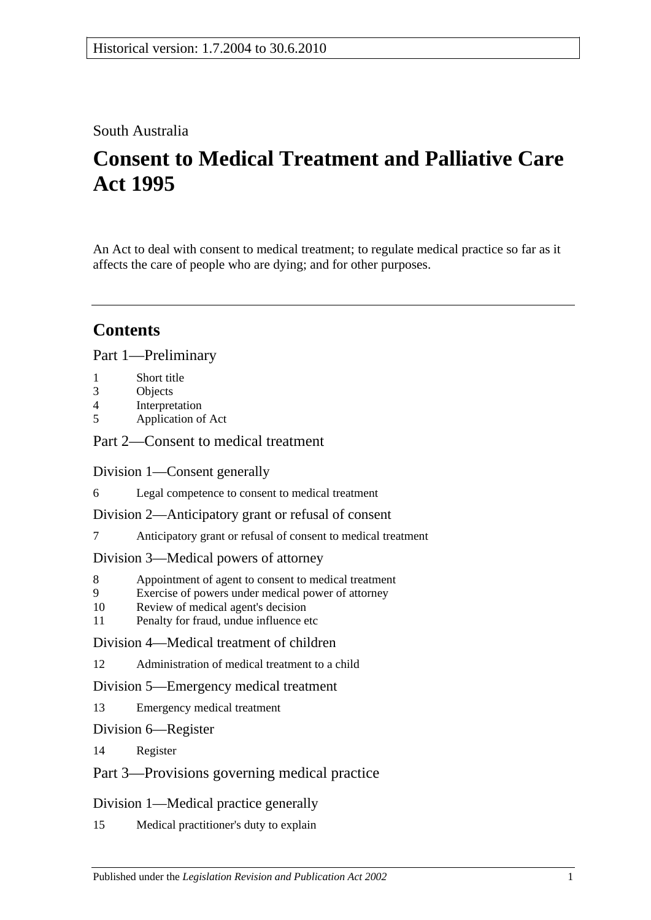## South Australia

# **Consent to Medical Treatment and Palliative Care Act 1995**

An Act to deal with consent to medical treatment; to regulate medical practice so far as it affects the care of people who are dying; and for other purposes.

## **Contents**

[Part 1—Preliminary](#page-1-0)

- 1 [Short title](#page-1-1)
- 3 [Objects](#page-1-2)
- 4 [Interpretation](#page-1-3)
- 5 [Application of Act](#page-3-0)

[Part 2—Consent to medical treatment](#page-3-1)

[Division 1—Consent generally](#page-3-2)

6 [Legal competence to consent to medical treatment](#page-3-3)

[Division 2—Anticipatory grant or refusal of consent](#page-3-4)

7 [Anticipatory grant or refusal of consent to medical treatment](#page-3-5)

[Division 3—Medical powers of attorney](#page-4-0)

- 8 [Appointment of agent to consent to medical treatment](#page-4-1)<br>9 Exercise of nowers under medical nower of attorney
- [Exercise of powers under medical power of attorney](#page-5-0)
- 10 [Review of medical agent's decision](#page-5-1)
- 11 [Penalty for fraud, undue influence etc](#page-6-0)

[Division 4—Medical treatment of children](#page-7-0)

12 [Administration of medical treatment to a child](#page-7-1)

[Division 5—Emergency medical treatment](#page-7-2)

13 [Emergency medical treatment](#page-7-3)

[Division 6—Register](#page-8-0)

14 [Register](#page-8-1)

### [Part 3—Provisions governing medical practice](#page-8-2)

#### [Division 1—Medical practice generally](#page-8-3)

15 [Medical practitioner's duty to explain](#page-8-4)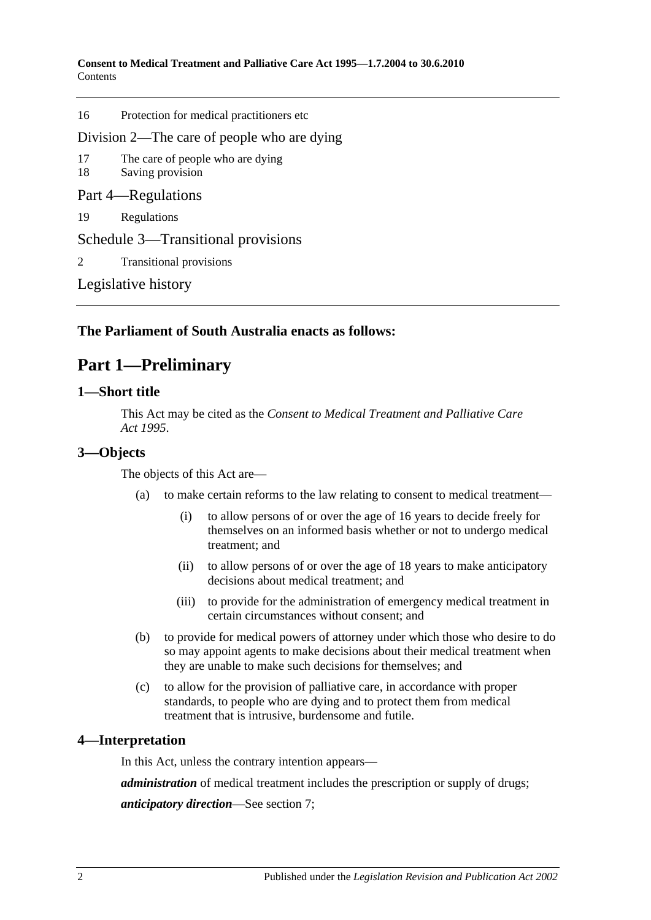**Consent to Medical Treatment and Palliative Care Act 1995—1.7.2004 to 30.6.2010 Contents** 

| 16                                          | Protection for medical practitioners etc.            |  |  |  |
|---------------------------------------------|------------------------------------------------------|--|--|--|
| Division 2—The care of people who are dying |                                                      |  |  |  |
| 17<br>18                                    | The care of people who are dying<br>Saving provision |  |  |  |
| Part 4—Regulations                          |                                                      |  |  |  |
| 19                                          | Regulations                                          |  |  |  |
| Schedule 3—Transitional provisions          |                                                      |  |  |  |
| 2                                           | <b>Transitional provisions</b>                       |  |  |  |
| Legislative history                         |                                                      |  |  |  |
|                                             |                                                      |  |  |  |

## <span id="page-1-0"></span>**The Parliament of South Australia enacts as follows:**

## **Part 1—Preliminary**

#### <span id="page-1-1"></span>**1—Short title**

This Act may be cited as the *Consent to Medical Treatment and Palliative Care Act 1995*.

#### <span id="page-1-2"></span>**3—Objects**

The objects of this Act are—

- (a) to make certain reforms to the law relating to consent to medical treatment—
	- (i) to allow persons of or over the age of 16 years to decide freely for themselves on an informed basis whether or not to undergo medical treatment; and
	- (ii) to allow persons of or over the age of 18 years to make anticipatory decisions about medical treatment; and
	- (iii) to provide for the administration of emergency medical treatment in certain circumstances without consent; and
- (b) to provide for medical powers of attorney under which those who desire to do so may appoint agents to make decisions about their medical treatment when they are unable to make such decisions for themselves; and
- (c) to allow for the provision of palliative care, in accordance with proper standards, to people who are dying and to protect them from medical treatment that is intrusive, burdensome and futile.

#### <span id="page-1-3"></span>**4—Interpretation**

In this Act, unless the contrary intention appears—

*administration* of medical treatment includes the prescription or supply of drugs;

*anticipatory direction*—See [section](#page-3-5) 7;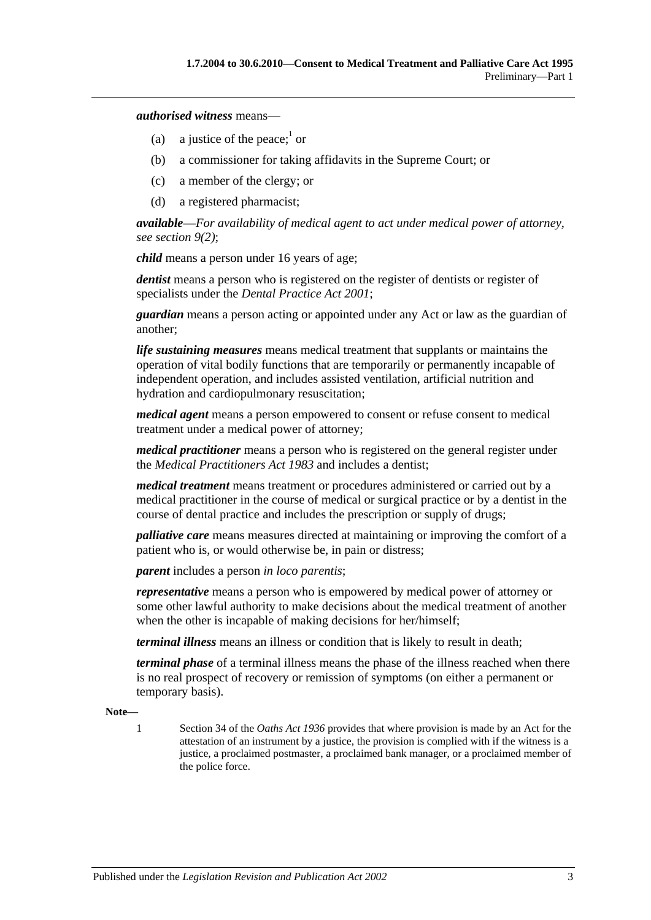#### *authorised witness* means—

- (a) a justice of the peace;  $\alpha$
- (b) a commissioner for taking affidavits in the Supreme Court; or
- (c) a member of the clergy; or
- (d) a registered pharmacist;

*available*—*For availability of medical agent to act under medical power of attorney, see [section](#page-5-2) 9(2)*;

*child* means a person under 16 years of age:

*dentist* means a person who is registered on the register of dentists or register of specialists under the *[Dental Practice Act](http://www.legislation.sa.gov.au/index.aspx?action=legref&type=act&legtitle=Dental%20Practice%20Act%202001) 2001*;

*guardian* means a person acting or appointed under any Act or law as the guardian of another;

*life sustaining measures* means medical treatment that supplants or maintains the operation of vital bodily functions that are temporarily or permanently incapable of independent operation, and includes assisted ventilation, artificial nutrition and hydration and cardiopulmonary resuscitation;

*medical agent* means a person empowered to consent or refuse consent to medical treatment under a medical power of attorney;

*medical practitioner* means a person who is registered on the general register under the *[Medical Practitioners Act](http://www.legislation.sa.gov.au/index.aspx?action=legref&type=act&legtitle=Medical%20Practitioners%20Act%201983) 1983* and includes a dentist;

*medical treatment* means treatment or procedures administered or carried out by a medical practitioner in the course of medical or surgical practice or by a dentist in the course of dental practice and includes the prescription or supply of drugs;

*palliative care* means measures directed at maintaining or improving the comfort of a patient who is, or would otherwise be, in pain or distress;

*parent* includes a person *in loco parentis*;

*representative* means a person who is empowered by medical power of attorney or some other lawful authority to make decisions about the medical treatment of another when the other is incapable of making decisions for her/himself;

*terminal illness* means an illness or condition that is likely to result in death;

*terminal phase* of a terminal illness means the phase of the illness reached when there is no real prospect of recovery or remission of symptoms (on either a permanent or temporary basis).

**Note—**

1 Section 34 of the *[Oaths Act](http://www.legislation.sa.gov.au/index.aspx?action=legref&type=act&legtitle=Oaths%20Act%201936) 1936* provides that where provision is made by an Act for the attestation of an instrument by a justice, the provision is complied with if the witness is a justice, a proclaimed postmaster, a proclaimed bank manager, or a proclaimed member of the police force.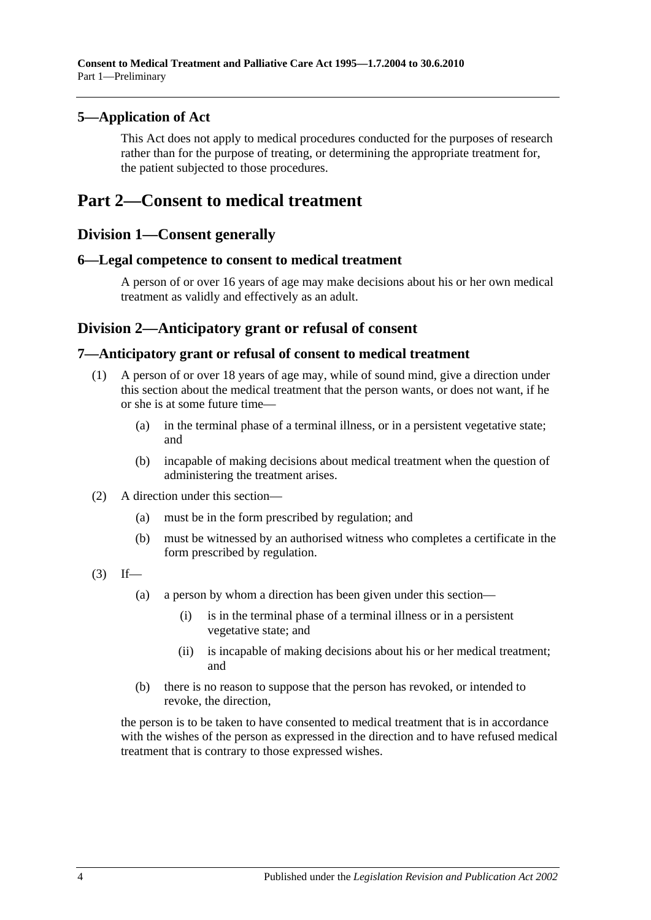#### <span id="page-3-0"></span>**5—Application of Act**

This Act does not apply to medical procedures conducted for the purposes of research rather than for the purpose of treating, or determining the appropriate treatment for, the patient subjected to those procedures.

## <span id="page-3-1"></span>**Part 2—Consent to medical treatment**

### <span id="page-3-2"></span>**Division 1—Consent generally**

#### <span id="page-3-3"></span>**6—Legal competence to consent to medical treatment**

A person of or over 16 years of age may make decisions about his or her own medical treatment as validly and effectively as an adult.

#### <span id="page-3-4"></span>**Division 2—Anticipatory grant or refusal of consent**

#### <span id="page-3-5"></span>**7—Anticipatory grant or refusal of consent to medical treatment**

- (1) A person of or over 18 years of age may, while of sound mind, give a direction under this section about the medical treatment that the person wants, or does not want, if he or she is at some future time—
	- (a) in the terminal phase of a terminal illness, or in a persistent vegetative state; and
	- (b) incapable of making decisions about medical treatment when the question of administering the treatment arises.
- (2) A direction under this section—
	- (a) must be in the form prescribed by regulation; and
	- (b) must be witnessed by an authorised witness who completes a certificate in the form prescribed by regulation.
- $(3)$  If—
	- (a) a person by whom a direction has been given under this section—
		- (i) is in the terminal phase of a terminal illness or in a persistent vegetative state; and
		- (ii) is incapable of making decisions about his or her medical treatment; and
	- (b) there is no reason to suppose that the person has revoked, or intended to revoke, the direction,

the person is to be taken to have consented to medical treatment that is in accordance with the wishes of the person as expressed in the direction and to have refused medical treatment that is contrary to those expressed wishes.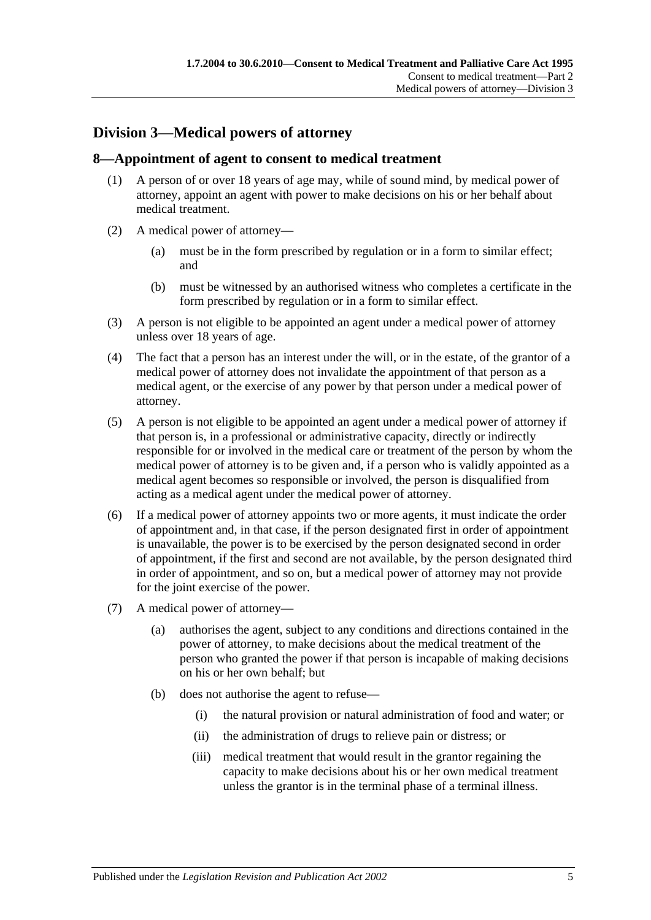## <span id="page-4-0"></span>**Division 3—Medical powers of attorney**

#### <span id="page-4-1"></span>**8—Appointment of agent to consent to medical treatment**

- (1) A person of or over 18 years of age may, while of sound mind, by medical power of attorney, appoint an agent with power to make decisions on his or her behalf about medical treatment.
- (2) A medical power of attorney—
	- (a) must be in the form prescribed by regulation or in a form to similar effect; and
	- (b) must be witnessed by an authorised witness who completes a certificate in the form prescribed by regulation or in a form to similar effect.
- (3) A person is not eligible to be appointed an agent under a medical power of attorney unless over 18 years of age.
- (4) The fact that a person has an interest under the will, or in the estate, of the grantor of a medical power of attorney does not invalidate the appointment of that person as a medical agent, or the exercise of any power by that person under a medical power of attorney.
- <span id="page-4-2"></span>(5) A person is not eligible to be appointed an agent under a medical power of attorney if that person is, in a professional or administrative capacity, directly or indirectly responsible for or involved in the medical care or treatment of the person by whom the medical power of attorney is to be given and, if a person who is validly appointed as a medical agent becomes so responsible or involved, the person is disqualified from acting as a medical agent under the medical power of attorney.
- (6) If a medical power of attorney appoints two or more agents, it must indicate the order of appointment and, in that case, if the person designated first in order of appointment is unavailable, the power is to be exercised by the person designated second in order of appointment, if the first and second are not available, by the person designated third in order of appointment, and so on, but a medical power of attorney may not provide for the joint exercise of the power.
- (7) A medical power of attorney—
	- (a) authorises the agent, subject to any conditions and directions contained in the power of attorney, to make decisions about the medical treatment of the person who granted the power if that person is incapable of making decisions on his or her own behalf; but
	- (b) does not authorise the agent to refuse—
		- (i) the natural provision or natural administration of food and water; or
		- (ii) the administration of drugs to relieve pain or distress; or
		- (iii) medical treatment that would result in the grantor regaining the capacity to make decisions about his or her own medical treatment unless the grantor is in the terminal phase of a terminal illness.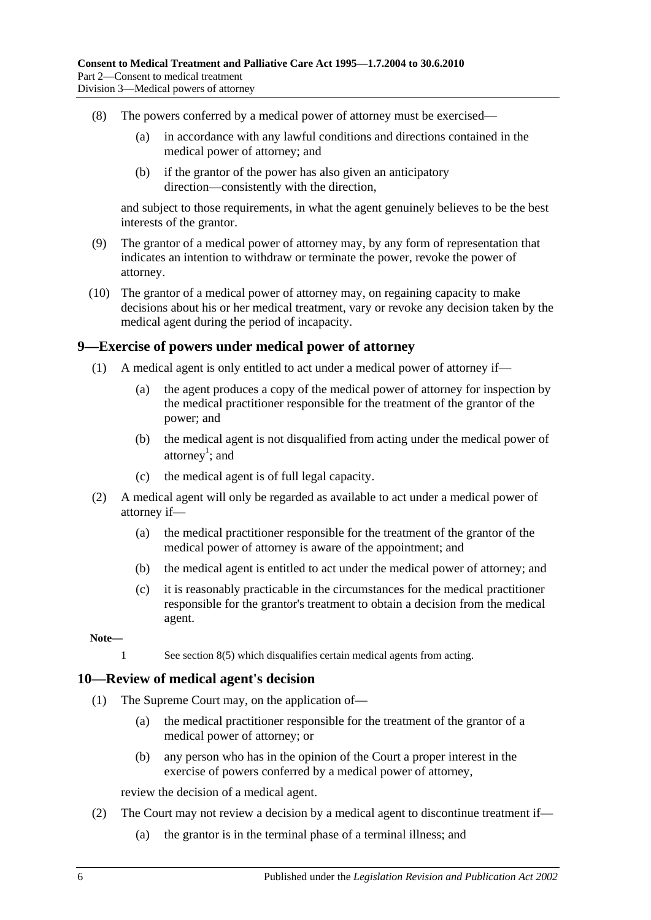- (8) The powers conferred by a medical power of attorney must be exercised—
	- (a) in accordance with any lawful conditions and directions contained in the medical power of attorney; and
	- (b) if the grantor of the power has also given an anticipatory direction—consistently with the direction,

and subject to those requirements, in what the agent genuinely believes to be the best interests of the grantor.

- (9) The grantor of a medical power of attorney may, by any form of representation that indicates an intention to withdraw or terminate the power, revoke the power of attorney.
- (10) The grantor of a medical power of attorney may, on regaining capacity to make decisions about his or her medical treatment, vary or revoke any decision taken by the medical agent during the period of incapacity.

#### <span id="page-5-0"></span>**9—Exercise of powers under medical power of attorney**

- (1) A medical agent is only entitled to act under a medical power of attorney if—
	- (a) the agent produces a copy of the medical power of attorney for inspection by the medical practitioner responsible for the treatment of the grantor of the power; and
	- (b) the medical agent is not disqualified from acting under the medical power of attorney<sup>1</sup>; and
	- (c) the medical agent is of full legal capacity.
- <span id="page-5-2"></span>(2) A medical agent will only be regarded as available to act under a medical power of attorney if—
	- (a) the medical practitioner responsible for the treatment of the grantor of the medical power of attorney is aware of the appointment; and
	- (b) the medical agent is entitled to act under the medical power of attorney; and
	- (c) it is reasonably practicable in the circumstances for the medical practitioner responsible for the grantor's treatment to obtain a decision from the medical agent.

**Note—**

1 See [section](#page-4-2) 8(5) which disqualifies certain medical agents from acting.

## <span id="page-5-1"></span>**10—Review of medical agent's decision**

- (1) The Supreme Court may, on the application of—
	- (a) the medical practitioner responsible for the treatment of the grantor of a medical power of attorney; or
	- (b) any person who has in the opinion of the Court a proper interest in the exercise of powers conferred by a medical power of attorney,

review the decision of a medical agent.

- (2) The Court may not review a decision by a medical agent to discontinue treatment if—
	- (a) the grantor is in the terminal phase of a terminal illness; and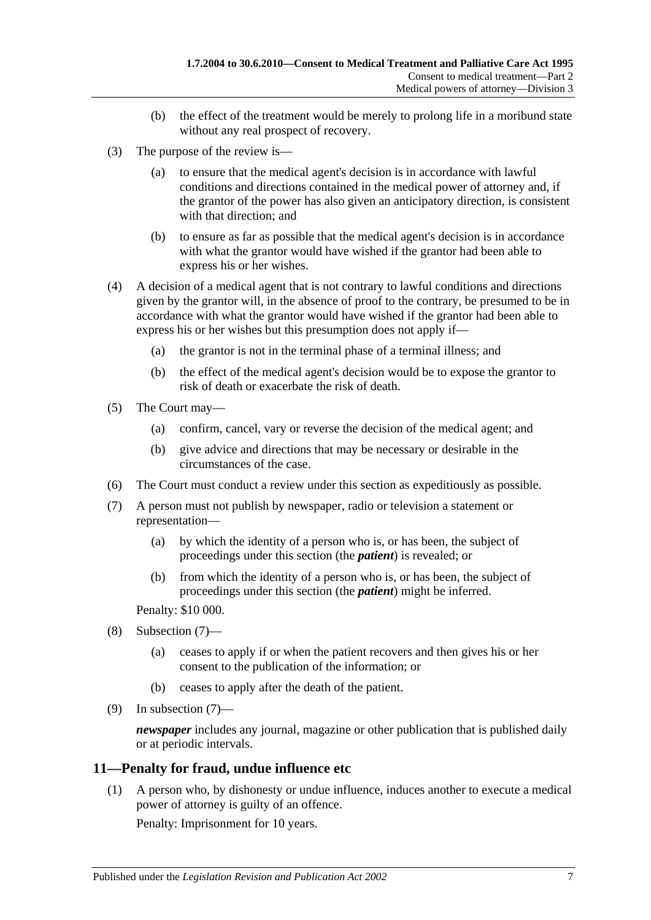- (b) the effect of the treatment would be merely to prolong life in a moribund state without any real prospect of recovery.
- (3) The purpose of the review is—
	- (a) to ensure that the medical agent's decision is in accordance with lawful conditions and directions contained in the medical power of attorney and, if the grantor of the power has also given an anticipatory direction, is consistent with that direction; and
	- (b) to ensure as far as possible that the medical agent's decision is in accordance with what the grantor would have wished if the grantor had been able to express his or her wishes.
- (4) A decision of a medical agent that is not contrary to lawful conditions and directions given by the grantor will, in the absence of proof to the contrary, be presumed to be in accordance with what the grantor would have wished if the grantor had been able to express his or her wishes but this presumption does not apply if—
	- (a) the grantor is not in the terminal phase of a terminal illness; and
	- (b) the effect of the medical agent's decision would be to expose the grantor to risk of death or exacerbate the risk of death.
- (5) The Court may—
	- (a) confirm, cancel, vary or reverse the decision of the medical agent; and
	- (b) give advice and directions that may be necessary or desirable in the circumstances of the case.
- (6) The Court must conduct a review under this section as expeditiously as possible.
- <span id="page-6-1"></span>(7) A person must not publish by newspaper, radio or television a statement or representation—
	- (a) by which the identity of a person who is, or has been, the subject of proceedings under this section (the *patient*) is revealed; or
	- (b) from which the identity of a person who is, or has been, the subject of proceedings under this section (the *patient*) might be inferred.

Penalty: \$10 000.

- (8) [Subsection](#page-6-1) (7)—
	- (a) ceases to apply if or when the patient recovers and then gives his or her consent to the publication of the information; or
	- (b) ceases to apply after the death of the patient.
- (9) In [subsection](#page-6-1) (7)—

*newspaper* includes any journal, magazine or other publication that is published daily or at periodic intervals.

#### <span id="page-6-0"></span>**11—Penalty for fraud, undue influence etc**

(1) A person who, by dishonesty or undue influence, induces another to execute a medical power of attorney is guilty of an offence.

Penalty: Imprisonment for 10 years.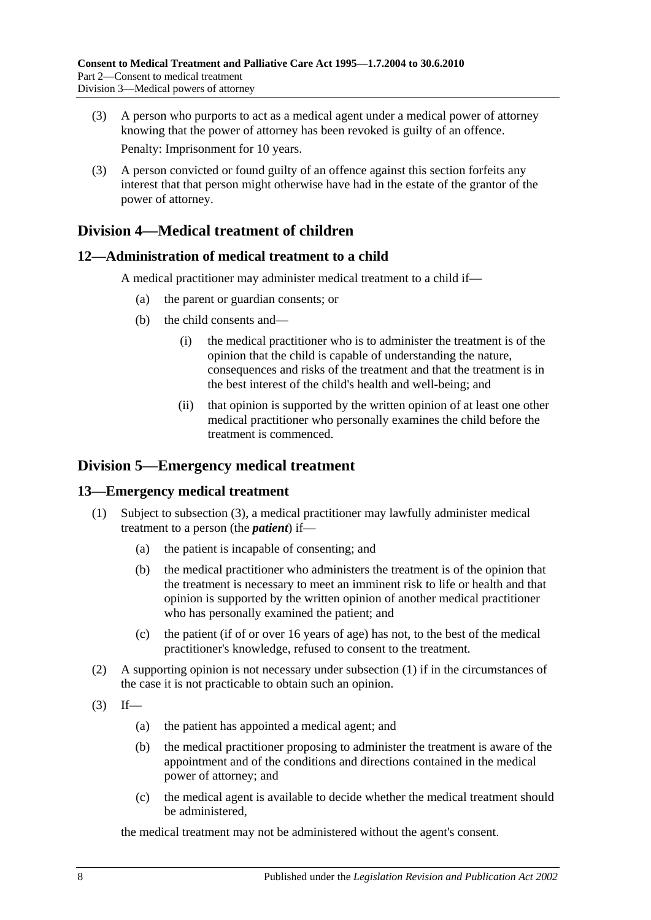(3) A person who purports to act as a medical agent under a medical power of attorney knowing that the power of attorney has been revoked is guilty of an offence.

Penalty: Imprisonment for 10 years.

(3) A person convicted or found guilty of an offence against this section forfeits any interest that that person might otherwise have had in the estate of the grantor of the power of attorney.

## <span id="page-7-0"></span>**Division 4—Medical treatment of children**

#### <span id="page-7-1"></span>**12—Administration of medical treatment to a child**

A medical practitioner may administer medical treatment to a child if—

- (a) the parent or guardian consents; or
- (b) the child consents and—
	- (i) the medical practitioner who is to administer the treatment is of the opinion that the child is capable of understanding the nature, consequences and risks of the treatment and that the treatment is in the best interest of the child's health and well-being; and
	- (ii) that opinion is supported by the written opinion of at least one other medical practitioner who personally examines the child before the treatment is commenced.

## <span id="page-7-2"></span>**Division 5—Emergency medical treatment**

#### <span id="page-7-5"></span><span id="page-7-3"></span>**13—Emergency medical treatment**

- (1) Subject to [subsection](#page-7-4) (3), a medical practitioner may lawfully administer medical treatment to a person (the *patient*) if—
	- (a) the patient is incapable of consenting; and
	- (b) the medical practitioner who administers the treatment is of the opinion that the treatment is necessary to meet an imminent risk to life or health and that opinion is supported by the written opinion of another medical practitioner who has personally examined the patient; and
	- (c) the patient (if of or over 16 years of age) has not, to the best of the medical practitioner's knowledge, refused to consent to the treatment.
- (2) A supporting opinion is not necessary under [subsection](#page-7-5) (1) if in the circumstances of the case it is not practicable to obtain such an opinion.
- <span id="page-7-4"></span> $(3)$  If—
	- (a) the patient has appointed a medical agent; and
	- (b) the medical practitioner proposing to administer the treatment is aware of the appointment and of the conditions and directions contained in the medical power of attorney; and
	- (c) the medical agent is available to decide whether the medical treatment should be administered,

the medical treatment may not be administered without the agent's consent.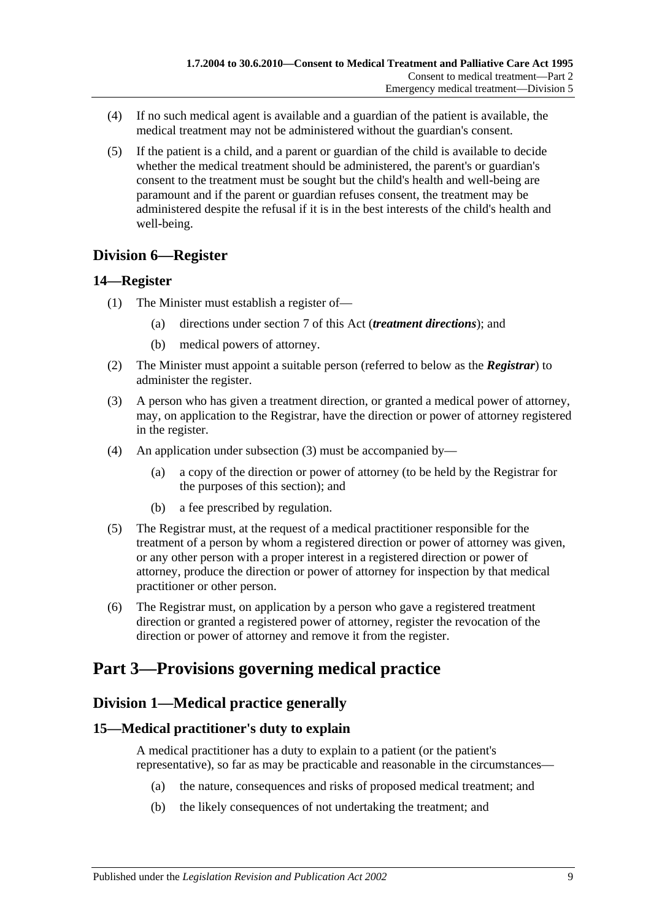- (4) If no such medical agent is available and a guardian of the patient is available, the medical treatment may not be administered without the guardian's consent.
- (5) If the patient is a child, and a parent or guardian of the child is available to decide whether the medical treatment should be administered, the parent's or guardian's consent to the treatment must be sought but the child's health and well-being are paramount and if the parent or guardian refuses consent, the treatment may be administered despite the refusal if it is in the best interests of the child's health and well-being.

### <span id="page-8-0"></span>**Division 6—Register**

#### <span id="page-8-1"></span>**14—Register**

- (1) The Minister must establish a register of—
	- (a) directions under [section](#page-3-5) 7 of this Act (*treatment directions*); and
	- (b) medical powers of attorney.
- (2) The Minister must appoint a suitable person (referred to below as the *Registrar*) to administer the register.
- <span id="page-8-5"></span>(3) A person who has given a treatment direction, or granted a medical power of attorney, may, on application to the Registrar, have the direction or power of attorney registered in the register.
- (4) An application under [subsection](#page-8-5) (3) must be accompanied by—
	- (a) a copy of the direction or power of attorney (to be held by the Registrar for the purposes of this section); and
	- (b) a fee prescribed by regulation.
- (5) The Registrar must, at the request of a medical practitioner responsible for the treatment of a person by whom a registered direction or power of attorney was given, or any other person with a proper interest in a registered direction or power of attorney, produce the direction or power of attorney for inspection by that medical practitioner or other person.
- (6) The Registrar must, on application by a person who gave a registered treatment direction or granted a registered power of attorney, register the revocation of the direction or power of attorney and remove it from the register.

## <span id="page-8-2"></span>**Part 3—Provisions governing medical practice**

### <span id="page-8-3"></span>**Division 1—Medical practice generally**

#### <span id="page-8-4"></span>**15—Medical practitioner's duty to explain**

A medical practitioner has a duty to explain to a patient (or the patient's representative), so far as may be practicable and reasonable in the circumstances—

- (a) the nature, consequences and risks of proposed medical treatment; and
- (b) the likely consequences of not undertaking the treatment; and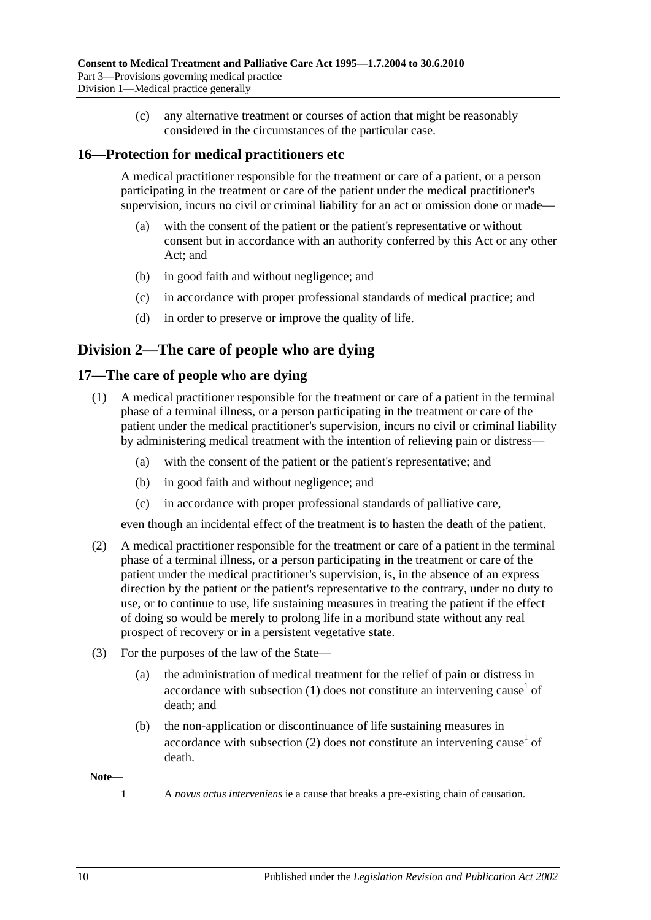(c) any alternative treatment or courses of action that might be reasonably considered in the circumstances of the particular case.

#### <span id="page-9-0"></span>**16—Protection for medical practitioners etc**

A medical practitioner responsible for the treatment or care of a patient, or a person participating in the treatment or care of the patient under the medical practitioner's supervision, incurs no civil or criminal liability for an act or omission done or made—

- (a) with the consent of the patient or the patient's representative or without consent but in accordance with an authority conferred by this Act or any other Act; and
- (b) in good faith and without negligence; and
- (c) in accordance with proper professional standards of medical practice; and
- (d) in order to preserve or improve the quality of life.

### <span id="page-9-1"></span>**Division 2—The care of people who are dying**

#### <span id="page-9-3"></span><span id="page-9-2"></span>**17—The care of people who are dying**

- (1) A medical practitioner responsible for the treatment or care of a patient in the terminal phase of a terminal illness, or a person participating in the treatment or care of the patient under the medical practitioner's supervision, incurs no civil or criminal liability by administering medical treatment with the intention of relieving pain or distress—
	- (a) with the consent of the patient or the patient's representative; and
	- (b) in good faith and without negligence; and
	- (c) in accordance with proper professional standards of palliative care,

even though an incidental effect of the treatment is to hasten the death of the patient.

- <span id="page-9-4"></span>(2) A medical practitioner responsible for the treatment or care of a patient in the terminal phase of a terminal illness, or a person participating in the treatment or care of the patient under the medical practitioner's supervision, is, in the absence of an express direction by the patient or the patient's representative to the contrary, under no duty to use, or to continue to use, life sustaining measures in treating the patient if the effect of doing so would be merely to prolong life in a moribund state without any real prospect of recovery or in a persistent vegetative state.
- (3) For the purposes of the law of the State—
	- (a) the administration of medical treatment for the relief of pain or distress in accordance with [subsection](#page-9-3) (1) does not constitute an intervening cause of death; and
	- (b) the non-application or discontinuance of life sustaining measures in accordance with [subsection](#page-9-4) (2) does not constitute an intervening cause<sup>1</sup> of death.

#### **Note—**

- - 1 A *novus actus interveniens* ie a cause that breaks a pre-existing chain of causation.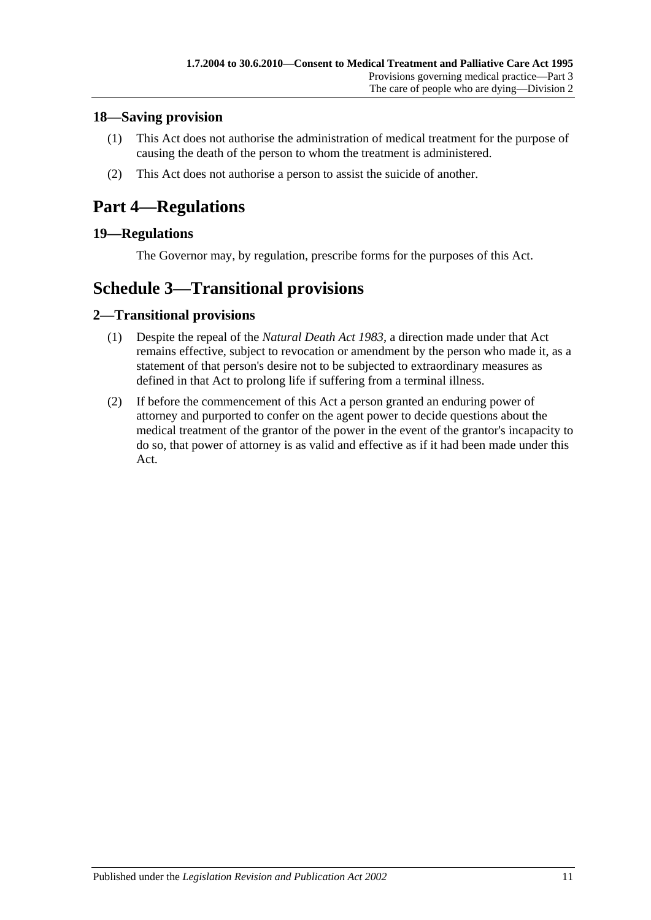#### <span id="page-10-0"></span>**18—Saving provision**

- (1) This Act does not authorise the administration of medical treatment for the purpose of causing the death of the person to whom the treatment is administered.
- (2) This Act does not authorise a person to assist the suicide of another.

## <span id="page-10-1"></span>**Part 4—Regulations**

#### <span id="page-10-2"></span>**19—Regulations**

The Governor may, by regulation, prescribe forms for the purposes of this Act.

## <span id="page-10-3"></span>**Schedule 3—Transitional provisions**

#### <span id="page-10-4"></span>**2—Transitional provisions**

- (1) Despite the repeal of the *[Natural Death Act](http://www.legislation.sa.gov.au/index.aspx?action=legref&type=act&legtitle=Natural%20Death%20Act%201983) 1983*, a direction made under that Act remains effective, subject to revocation or amendment by the person who made it, as a statement of that person's desire not to be subjected to extraordinary measures as defined in that Act to prolong life if suffering from a terminal illness.
- (2) If before the commencement of this Act a person granted an enduring power of attorney and purported to confer on the agent power to decide questions about the medical treatment of the grantor of the power in the event of the grantor's incapacity to do so, that power of attorney is as valid and effective as if it had been made under this Act.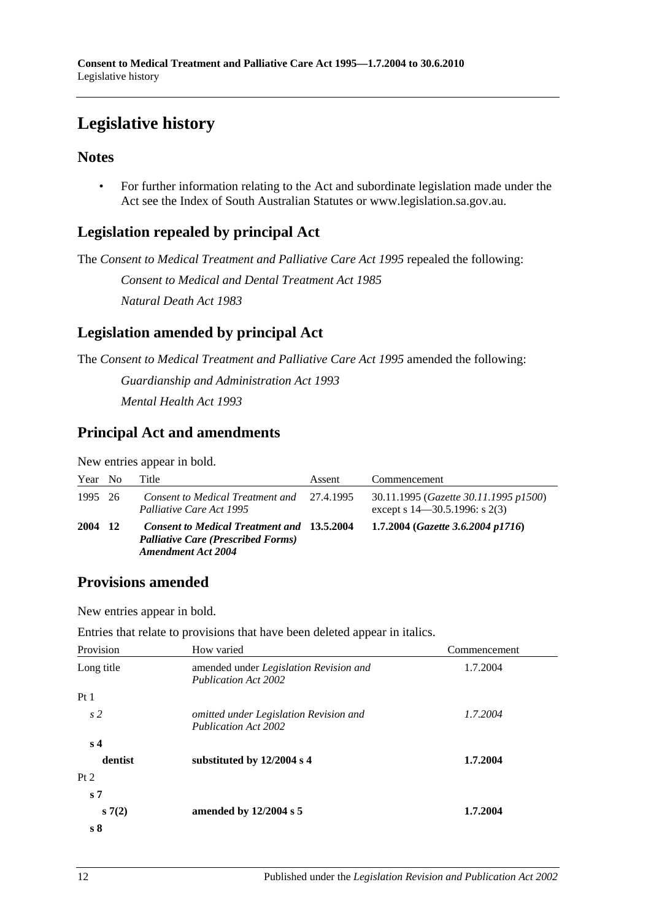## <span id="page-11-0"></span>**Legislative history**

### **Notes**

• For further information relating to the Act and subordinate legislation made under the Act see the Index of South Australian Statutes or www.legislation.sa.gov.au.

## **Legislation repealed by principal Act**

The *Consent to Medical Treatment and Palliative Care Act 1995* repealed the following:

*Consent to Medical and Dental Treatment Act 1985 Natural Death Act 1983*

## **Legislation amended by principal Act**

The *Consent to Medical Treatment and Palliative Care Act 1995* amended the following: *Guardianship and Administration Act 1993 Mental Health Act 1993*

## **Principal Act and amendments**

New entries appear in bold.

| Year No |     | Title                                                                                                                       | Assent | Commencement                                                                         |
|---------|-----|-----------------------------------------------------------------------------------------------------------------------------|--------|--------------------------------------------------------------------------------------|
| 1995 26 |     | Consent to Medical Treatment and 27.4.1995<br>Palliative Care Act 1995                                                      |        | 30.11.1995 ( <i>Gazette 30.11.1995 p1500</i> )<br>except s $14$ —30.5.1996: s $2(3)$ |
| 2004    | -12 | <b>Consent to Medical Treatment and 13.5.2004</b><br><b>Palliative Care (Prescribed Forms)</b><br><b>Amendment Act 2004</b> |        | 1.7.2004 (Gazette 3.6.2004 p1716)                                                    |

## **Provisions amended**

New entries appear in bold.

Entries that relate to provisions that have been deleted appear in italics.

| Provision      | How varied                                                                   | Commencement |
|----------------|------------------------------------------------------------------------------|--------------|
| Long title     | amended under <i>Legislation Revision and</i><br><b>Publication Act 2002</b> | 1.7.2004     |
| Pt1            |                                                                              |              |
| s <sub>2</sub> | omitted under Legislation Revision and<br>Publication Act 2002               | 1.7.2004     |
| s <sub>4</sub> |                                                                              |              |
| dentist        | substituted by 12/2004 s 4                                                   | 1.7.2004     |
| Pt 2           |                                                                              |              |
| s <sub>7</sub> |                                                                              |              |
| s7(2)          | amended by 12/2004 s 5                                                       | 1.7.2004     |
| s <sub>8</sub> |                                                                              |              |